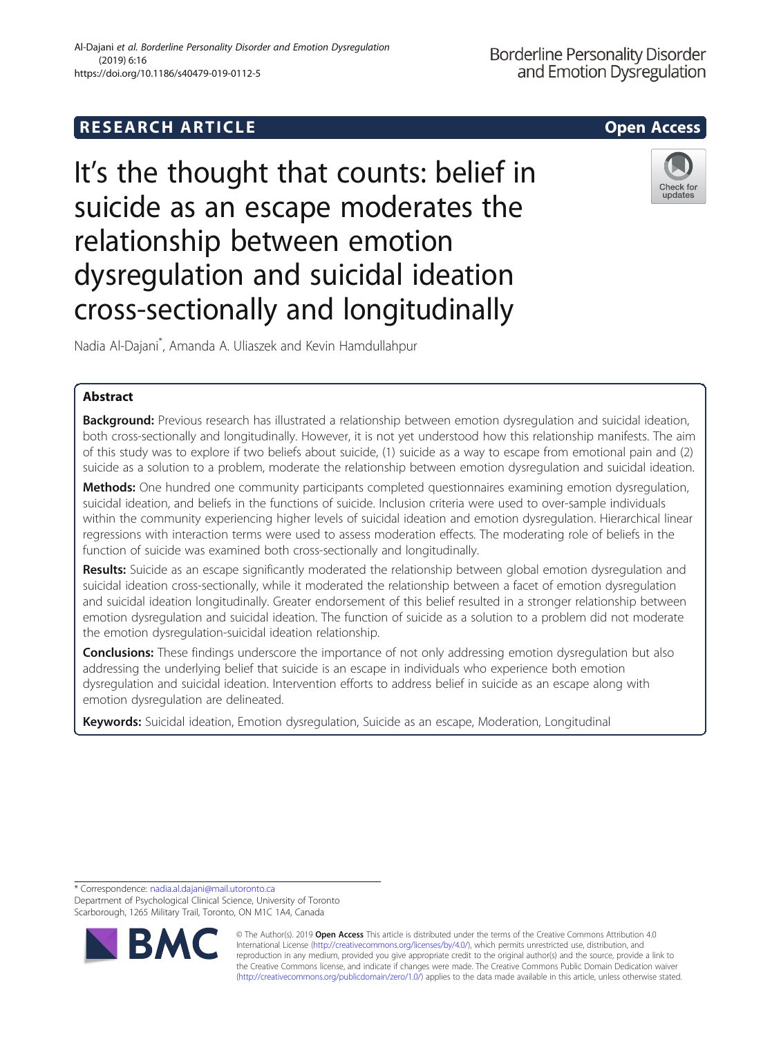# **RESEARCH ARTICLE Example 2014 12:30 The SEAR CH ACCESS**



# It's the thought that counts: belief in suicide as an escape moderates the relationship between emotion dysregulation and suicidal ideation cross-sectionally and longitudinally



Nadia Al-Dajani\* , Amanda A. Uliaszek and Kevin Hamdullahpur

# Abstract

Background: Previous research has illustrated a relationship between emotion dysregulation and suicidal ideation, both cross-sectionally and longitudinally. However, it is not yet understood how this relationship manifests. The aim of this study was to explore if two beliefs about suicide, (1) suicide as a way to escape from emotional pain and (2) suicide as a solution to a problem, moderate the relationship between emotion dysregulation and suicidal ideation.

Methods: One hundred one community participants completed questionnaires examining emotion dysregulation, suicidal ideation, and beliefs in the functions of suicide. Inclusion criteria were used to over-sample individuals within the community experiencing higher levels of suicidal ideation and emotion dysregulation. Hierarchical linear regressions with interaction terms were used to assess moderation effects. The moderating role of beliefs in the function of suicide was examined both cross-sectionally and longitudinally.

Results: Suicide as an escape significantly moderated the relationship between global emotion dysregulation and suicidal ideation cross-sectionally, while it moderated the relationship between a facet of emotion dysregulation and suicidal ideation longitudinally. Greater endorsement of this belief resulted in a stronger relationship between emotion dysregulation and suicidal ideation. The function of suicide as a solution to a problem did not moderate the emotion dysregulation-suicidal ideation relationship.

**Conclusions:** These findings underscore the importance of not only addressing emotion dysregulation but also addressing the underlying belief that suicide is an escape in individuals who experience both emotion dysregulation and suicidal ideation. Intervention efforts to address belief in suicide as an escape along with emotion dysregulation are delineated.

Keywords: Suicidal ideation, Emotion dysregulation, Suicide as an escape, Moderation, Longitudinal

\* Correspondence: [nadia.al.dajani@mail.utoronto.ca](mailto:nadia.al.dajani@mail.utoronto.ca)

Department of Psychological Clinical Science, University of Toronto Scarborough, 1265 Military Trail, Toronto, ON M1C 1A4, Canada



© The Author(s). 2019 **Open Access** This article is distributed under the terms of the Creative Commons Attribution 4.0 International License [\(http://creativecommons.org/licenses/by/4.0/](http://creativecommons.org/licenses/by/4.0/)), which permits unrestricted use, distribution, and reproduction in any medium, provided you give appropriate credit to the original author(s) and the source, provide a link to the Creative Commons license, and indicate if changes were made. The Creative Commons Public Domain Dedication waiver [\(http://creativecommons.org/publicdomain/zero/1.0/](http://creativecommons.org/publicdomain/zero/1.0/)) applies to the data made available in this article, unless otherwise stated.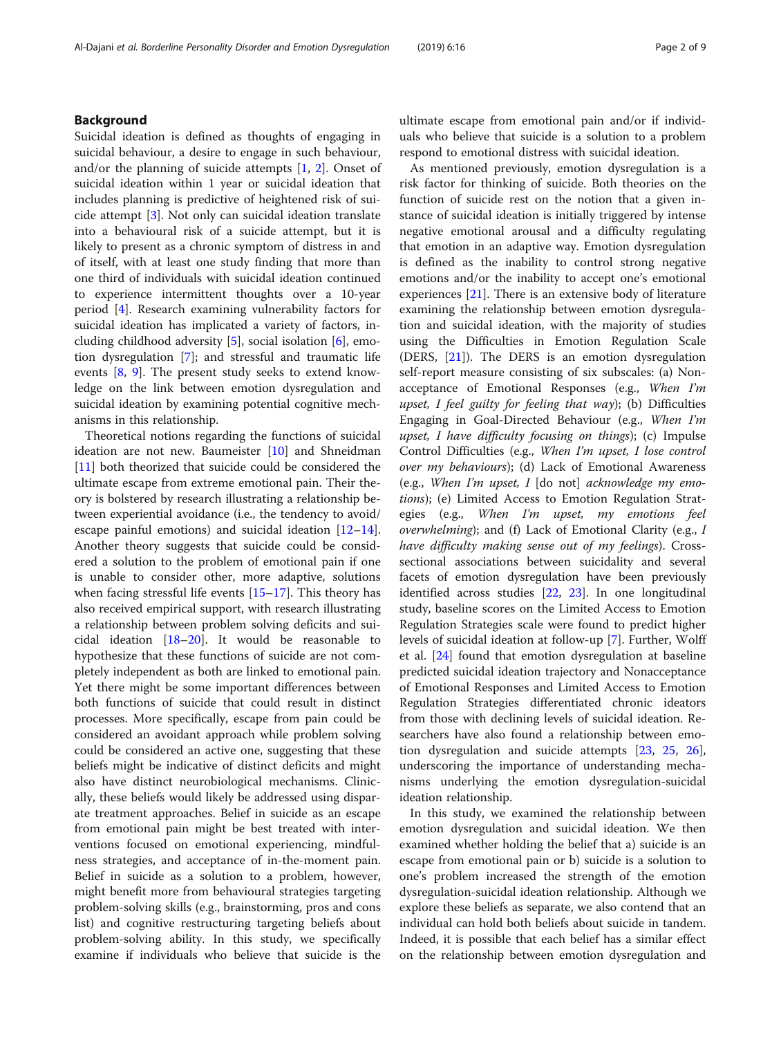Suicidal ideation is defined as thoughts of engaging in suicidal behaviour, a desire to engage in such behaviour, and/or the planning of suicide attempts  $[1, 2]$  $[1, 2]$  $[1, 2]$  $[1, 2]$  $[1, 2]$ . Onset of suicidal ideation within 1 year or suicidal ideation that includes planning is predictive of heightened risk of suicide attempt [[3\]](#page-7-0). Not only can suicidal ideation translate into a behavioural risk of a suicide attempt, but it is likely to present as a chronic symptom of distress in and of itself, with at least one study finding that more than one third of individuals with suicidal ideation continued to experience intermittent thoughts over a 10-year period [\[4](#page-7-0)]. Research examining vulnerability factors for suicidal ideation has implicated a variety of factors, including childhood adversity [\[5\]](#page-7-0), social isolation [\[6\]](#page-7-0), emotion dysregulation [[7\]](#page-7-0); and stressful and traumatic life events [[8,](#page-7-0) [9\]](#page-7-0). The present study seeks to extend knowledge on the link between emotion dysregulation and suicidal ideation by examining potential cognitive mechanisms in this relationship.

Theoretical notions regarding the functions of suicidal ideation are not new. Baumeister [\[10\]](#page-7-0) and Shneidman [[11\]](#page-7-0) both theorized that suicide could be considered the ultimate escape from extreme emotional pain. Their theory is bolstered by research illustrating a relationship between experiential avoidance (i.e., the tendency to avoid/ escape painful emotions) and suicidal ideation  $[12-14]$  $[12-14]$  $[12-14]$  $[12-14]$  $[12-14]$ . Another theory suggests that suicide could be considered a solution to the problem of emotional pain if one is unable to consider other, more adaptive, solutions when facing stressful life events [[15](#page-8-0)–[17](#page-8-0)]. This theory has also received empirical support, with research illustrating a relationship between problem solving deficits and suicidal ideation  $[18–20]$  $[18–20]$  $[18–20]$  $[18–20]$  $[18–20]$ . It would be reasonable to hypothesize that these functions of suicide are not completely independent as both are linked to emotional pain. Yet there might be some important differences between both functions of suicide that could result in distinct processes. More specifically, escape from pain could be considered an avoidant approach while problem solving could be considered an active one, suggesting that these beliefs might be indicative of distinct deficits and might also have distinct neurobiological mechanisms. Clinically, these beliefs would likely be addressed using disparate treatment approaches. Belief in suicide as an escape from emotional pain might be best treated with interventions focused on emotional experiencing, mindfulness strategies, and acceptance of in-the-moment pain. Belief in suicide as a solution to a problem, however, might benefit more from behavioural strategies targeting problem-solving skills (e.g., brainstorming, pros and cons list) and cognitive restructuring targeting beliefs about problem-solving ability. In this study, we specifically examine if individuals who believe that suicide is the ultimate escape from emotional pain and/or if individuals who believe that suicide is a solution to a problem respond to emotional distress with suicidal ideation.

As mentioned previously, emotion dysregulation is a risk factor for thinking of suicide. Both theories on the function of suicide rest on the notion that a given instance of suicidal ideation is initially triggered by intense negative emotional arousal and a difficulty regulating that emotion in an adaptive way. Emotion dysregulation is defined as the inability to control strong negative emotions and/or the inability to accept one's emotional experiences  $[21]$  $[21]$ . There is an extensive body of literature examining the relationship between emotion dysregulation and suicidal ideation, with the majority of studies using the Difficulties in Emotion Regulation Scale (DERS, [\[21](#page-8-0)]). The DERS is an emotion dysregulation self-report measure consisting of six subscales: (a) Nonacceptance of Emotional Responses (e.g., When I'm upset, I feel guilty for feeling that way); (b) Difficulties Engaging in Goal-Directed Behaviour (e.g., When I'm upset, I have difficulty focusing on things); (c) Impulse Control Difficulties (e.g., When I'm upset, I lose control over my behaviours); (d) Lack of Emotional Awareness (e.g., When I'm upset, I  $\lbrack$  do not $\rbrack$  acknowledge my emotions); (e) Limited Access to Emotion Regulation Strategies (e.g., When I'm upset, my emotions feel overwhelming); and (f) Lack of Emotional Clarity (e.g., I have difficulty making sense out of my feelings). Crosssectional associations between suicidality and several facets of emotion dysregulation have been previously identified across studies [\[22](#page-8-0), [23\]](#page-8-0). In one longitudinal study, baseline scores on the Limited Access to Emotion Regulation Strategies scale were found to predict higher levels of suicidal ideation at follow-up [\[7](#page-7-0)]. Further, Wolff et al. [[24](#page-8-0)] found that emotion dysregulation at baseline predicted suicidal ideation trajectory and Nonacceptance of Emotional Responses and Limited Access to Emotion Regulation Strategies differentiated chronic ideators from those with declining levels of suicidal ideation. Researchers have also found a relationship between emotion dysregulation and suicide attempts [[23](#page-8-0), [25](#page-8-0), [26](#page-8-0)], underscoring the importance of understanding mechanisms underlying the emotion dysregulation-suicidal ideation relationship.

In this study, we examined the relationship between emotion dysregulation and suicidal ideation. We then examined whether holding the belief that a) suicide is an escape from emotional pain or b) suicide is a solution to one's problem increased the strength of the emotion dysregulation-suicidal ideation relationship. Although we explore these beliefs as separate, we also contend that an individual can hold both beliefs about suicide in tandem. Indeed, it is possible that each belief has a similar effect on the relationship between emotion dysregulation and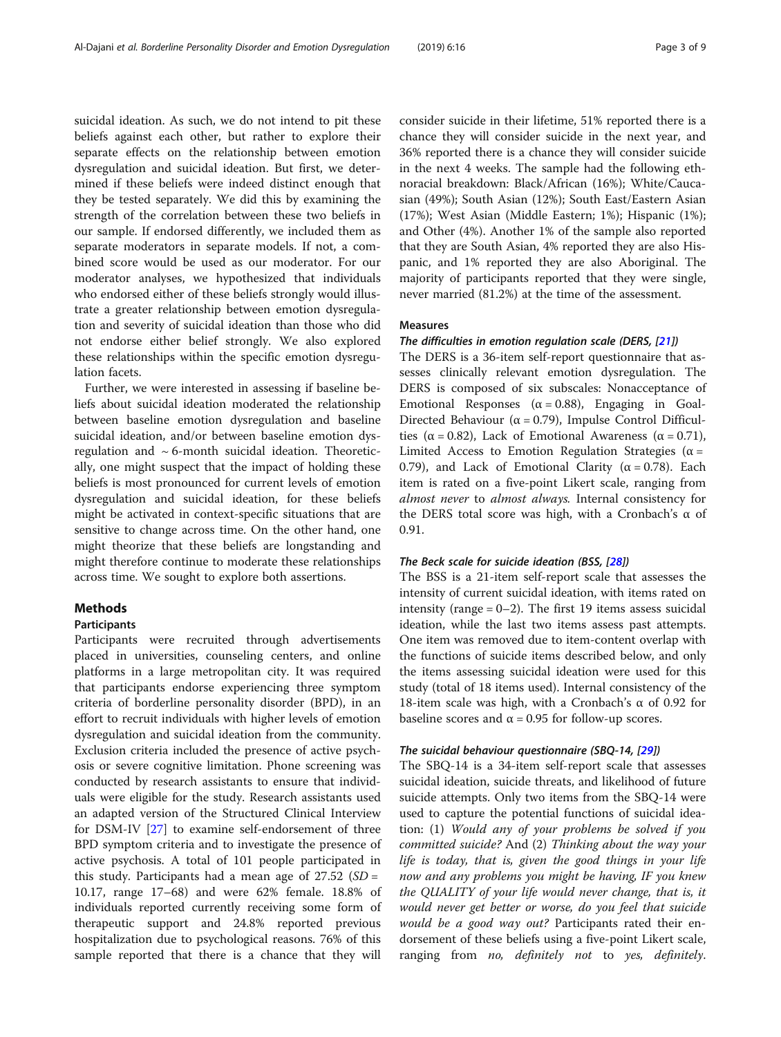suicidal ideation. As such, we do not intend to pit these beliefs against each other, but rather to explore their separate effects on the relationship between emotion dysregulation and suicidal ideation. But first, we determined if these beliefs were indeed distinct enough that they be tested separately. We did this by examining the strength of the correlation between these two beliefs in our sample. If endorsed differently, we included them as separate moderators in separate models. If not, a combined score would be used as our moderator. For our moderator analyses, we hypothesized that individuals who endorsed either of these beliefs strongly would illustrate a greater relationship between emotion dysregulation and severity of suicidal ideation than those who did not endorse either belief strongly. We also explored these relationships within the specific emotion dysregulation facets.

Further, we were interested in assessing if baseline beliefs about suicidal ideation moderated the relationship between baseline emotion dysregulation and baseline suicidal ideation, and/or between baseline emotion dysregulation and ~ 6-month suicidal ideation. Theoretically, one might suspect that the impact of holding these beliefs is most pronounced for current levels of emotion dysregulation and suicidal ideation, for these beliefs might be activated in context-specific situations that are sensitive to change across time. On the other hand, one might theorize that these beliefs are longstanding and might therefore continue to moderate these relationships across time. We sought to explore both assertions.

# Methods

# Participants

Participants were recruited through advertisements placed in universities, counseling centers, and online platforms in a large metropolitan city. It was required that participants endorse experiencing three symptom criteria of borderline personality disorder (BPD), in an effort to recruit individuals with higher levels of emotion dysregulation and suicidal ideation from the community. Exclusion criteria included the presence of active psychosis or severe cognitive limitation. Phone screening was conducted by research assistants to ensure that individuals were eligible for the study. Research assistants used an adapted version of the Structured Clinical Interview for DSM-IV [[27\]](#page-8-0) to examine self-endorsement of three BPD symptom criteria and to investigate the presence of active psychosis. A total of 101 people participated in this study. Participants had a mean age of  $27.52$  (*SD* = 10.17, range 17–68) and were 62% female. 18.8% of individuals reported currently receiving some form of therapeutic support and 24.8% reported previous hospitalization due to psychological reasons. 76% of this sample reported that there is a chance that they will

consider suicide in their lifetime, 51% reported there is a chance they will consider suicide in the next year, and 36% reported there is a chance they will consider suicide in the next 4 weeks. The sample had the following ethnoracial breakdown: Black/African (16%); White/Caucasian (49%); South Asian (12%); South East/Eastern Asian (17%); West Asian (Middle Eastern; 1%); Hispanic (1%); and Other (4%). Another 1% of the sample also reported that they are South Asian, 4% reported they are also Hispanic, and 1% reported they are also Aboriginal. The majority of participants reported that they were single, never married (81.2%) at the time of the assessment.

#### Measures

#### The difficulties in emotion regulation scale (DERS, [[21](#page-8-0)])

The DERS is a 36-item self-report questionnaire that assesses clinically relevant emotion dysregulation. The DERS is composed of six subscales: Nonacceptance of Emotional Responses ( $\alpha = 0.88$ ), Engaging in Goal-Directed Behaviour ( $\alpha$  = 0.79), Impulse Control Difficulties ( $\alpha$  = 0.82), Lack of Emotional Awareness ( $\alpha$  = 0.71), Limited Access to Emotion Regulation Strategies ( $\alpha$  = 0.79), and Lack of Emotional Clarity (α = 0.78). Each item is rated on a five-point Likert scale, ranging from almost never to almost always. Internal consistency for the DERS total score was high, with a Cronbach's α of 0.91.

#### The Beck scale for suicide ideation (BSS, [\[28\]](#page-8-0))

The BSS is a 21-item self-report scale that assesses the intensity of current suicidal ideation, with items rated on intensity (range  $= 0-2$ ). The first 19 items assess suicidal ideation, while the last two items assess past attempts. One item was removed due to item-content overlap with the functions of suicide items described below, and only the items assessing suicidal ideation were used for this study (total of 18 items used). Internal consistency of the 18-item scale was high, with a Cronbach's α of 0.92 for baseline scores and  $\alpha$  = 0.95 for follow-up scores.

#### The suicidal behaviour questionnaire (SBQ-14, [[29](#page-8-0)])

The SBQ-14 is a 34-item self-report scale that assesses suicidal ideation, suicide threats, and likelihood of future suicide attempts. Only two items from the SBQ-14 were used to capture the potential functions of suicidal ideation: (1) Would any of your problems be solved if you committed suicide? And (2) Thinking about the way your life is today, that is, given the good things in your life now and any problems you might be having, IF you knew the QUALITY of your life would never change, that is, it would never get better or worse, do you feel that suicide would be a good way out? Participants rated their endorsement of these beliefs using a five-point Likert scale, ranging from no, definitely not to yes, definitely.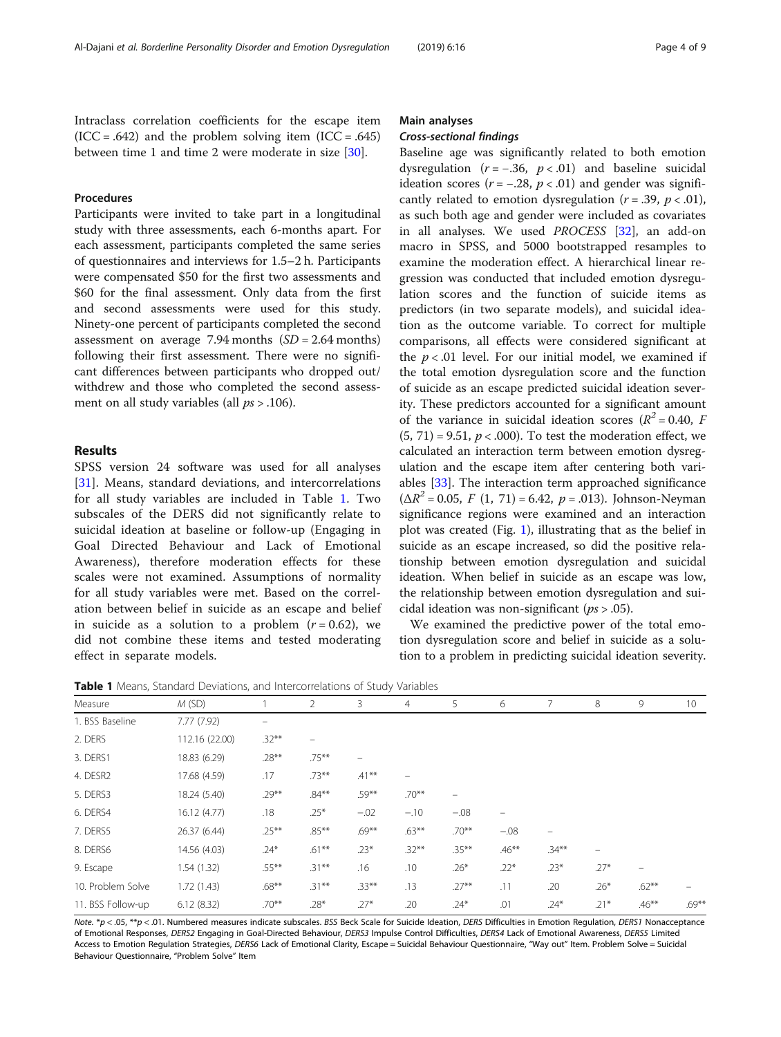Intraclass correlation coefficients for the escape item  $(ICC = .642)$  and the problem solving item  $(ICC = .645)$ between time 1 and time 2 were moderate in size [\[30](#page-8-0)].

# Procedures

Participants were invited to take part in a longitudinal study with three assessments, each 6-months apart. For each assessment, participants completed the same series of questionnaires and interviews for 1.5–2 h. Participants were compensated \$50 for the first two assessments and \$60 for the final assessment. Only data from the first and second assessments were used for this study. Ninety-one percent of participants completed the second assessment on average  $7.94$  months  $(SD = 2.64$  months) following their first assessment. There were no significant differences between participants who dropped out/ withdrew and those who completed the second assessment on all study variables (all  $ps > .106$ ).

# Results

SPSS version 24 software was used for all analyses [[31\]](#page-8-0). Means, standard deviations, and intercorrelations for all study variables are included in Table 1. Two subscales of the DERS did not significantly relate to suicidal ideation at baseline or follow-up (Engaging in Goal Directed Behaviour and Lack of Emotional Awareness), therefore moderation effects for these scales were not examined. Assumptions of normality for all study variables were met. Based on the correlation between belief in suicide as an escape and belief in suicide as a solution to a problem  $(r = 0.62)$ , we did not combine these items and tested moderating effect in separate models.

## Main analyses

#### Cross-sectional findings

Baseline age was significantly related to both emotion dysregulation ( $r = -.36$ ,  $p < .01$ ) and baseline suicidal ideation scores ( $r = -.28$ ,  $p < .01$ ) and gender was significantly related to emotion dysregulation ( $r = .39$ ,  $p < .01$ ), as such both age and gender were included as covariates in all analyses. We used PROCESS [[32\]](#page-8-0), an add-on macro in SPSS, and 5000 bootstrapped resamples to examine the moderation effect. A hierarchical linear regression was conducted that included emotion dysregulation scores and the function of suicide items as predictors (in two separate models), and suicidal ideation as the outcome variable. To correct for multiple comparisons, all effects were considered significant at the  $p < .01$  level. For our initial model, we examined if the total emotion dysregulation score and the function of suicide as an escape predicted suicidal ideation severity. These predictors accounted for a significant amount of the variance in suicidal ideation scores ( $R^2 = 0.40$ , F  $(5, 71) = 9.51$ ,  $p < .000$ ). To test the moderation effect, we calculated an interaction term between emotion dysregulation and the escape item after centering both vari-ables [[33](#page-8-0)]. The interaction term approached significance  $(\Delta R^2 = 0.05, F (1, 71) = 6.42, p = .013)$ . Johnson-Neyman significance regions were examined and an interaction plot was created (Fig. [1\)](#page-4-0), illustrating that as the belief in suicide as an escape increased, so did the positive relationship between emotion dysregulation and suicidal ideation. When belief in suicide as an escape was low, the relationship between emotion dysregulation and suicidal ideation was non-significant ( $ps > .05$ ).

We examined the predictive power of the total emotion dysregulation score and belief in suicide as a solution to a problem in predicting suicidal ideation severity.

**Table 1** Means, Standard Deviations, and Intercorrelations of Study Variables

| <b>Example I</b> initiality bearing and betractorist and interfect to networks or beauxy variables |                |                   |          |          |                |          |                   |                   |                   |          |                 |
|----------------------------------------------------------------------------------------------------|----------------|-------------------|----------|----------|----------------|----------|-------------------|-------------------|-------------------|----------|-----------------|
| Measure                                                                                            | M(SD)          |                   | 2        | 3        | $\overline{4}$ | 5        | 6                 | 7                 | 8                 | 9        | 10 <sup>°</sup> |
| 1. BSS Baseline                                                                                    | 7.77(7.92)     | $\qquad \qquad -$ |          |          |                |          |                   |                   |                   |          |                 |
| 2. DERS                                                                                            | 112.16 (22.00) | $.32***$          | -        |          |                |          |                   |                   |                   |          |                 |
| 3. DERS1                                                                                           | 18.83 (6.29)   | $.28***$          | $.75***$ |          |                |          |                   |                   |                   |          |                 |
| 4. DESR2                                                                                           | 17.68 (4.59)   | .17               | $.73***$ | $.41***$ |                |          |                   |                   |                   |          |                 |
| 5. DERS3                                                                                           | 18.24 (5.40)   | $.29***$          | $.84***$ | $.59***$ | $.70**$        |          |                   |                   |                   |          |                 |
| 6. DERS4                                                                                           | 16.12(4.77)    | .18               | $.25*$   | $-.02$   | $-.10$         | $-.08$   | $\qquad \qquad -$ |                   |                   |          |                 |
| 7. DERS5                                                                                           | 26.37 (6.44)   | $.25***$          | $.85***$ | $.69***$ | $.63***$       | $.70***$ | $-.08$            | $\qquad \qquad -$ |                   |          |                 |
| 8. DERS6                                                                                           | 14.56 (4.03)   | $.24*$            | $.61***$ | $.23*$   | $.32***$       | $.35***$ | $.46***$          | $.34***$          | $\qquad \qquad -$ |          |                 |
| 9. Escape                                                                                          | 1.54(1.32)     | $.55***$          | $.31***$ | .16      | .10            | $.26*$   | $.22*$            | $.23*$            | $.27*$            | -        |                 |
| 10. Problem Solve                                                                                  | 1.72(1.43)     | $.68***$          | $.31***$ | $.33***$ | .13            | $.27***$ | .11               | .20               | $.26*$            | $.62***$ |                 |
| 11. BSS Follow-up                                                                                  | 6.12(8.32)     | $.70***$          | $.28*$   | $.27*$   | .20            | $.24*$   | .01               | $.24*$            | $.21*$            | $.46***$ | $.69***$        |

Note.  $*p$  < .05,  $**p$  < .01. Numbered measures indicate subscales. BSS Beck Scale for Suicide Ideation, DERS Difficulties in Emotion Regulation, DERS1 Nonacceptance of Emotional Responses, DERS2 Engaging in Goal-Directed Behaviour, DERS3 Impulse Control Difficulties, DERS4 Lack of Emotional Awareness, DERS5 Limited Access to Emotion Regulation Strategies, DERS6 Lack of Emotional Clarity, Escape = Suicidal Behaviour Questionnaire, "Way out" Item. Problem Solve = Suicidal Behaviour Questionnaire, "Problem Solve" Item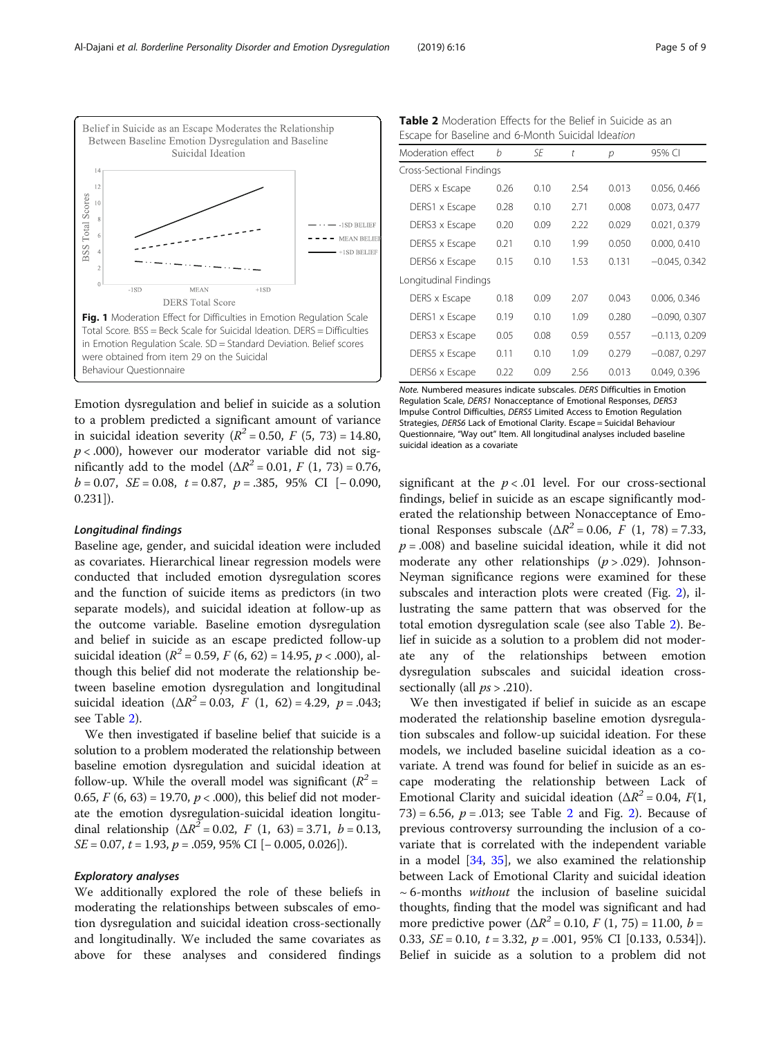<span id="page-4-0"></span>

Emotion dysregulation and belief in suicide as a solution to a problem predicted a significant amount of variance in suicidal ideation severity ( $R^2 = 0.50$ ,  $F (5, 73) = 14.80$ ,  $p < .000$ ), however our moderator variable did not significantly add to the model  $(\Delta R^2 = 0.01, F (1, 73) = 0.76,$  $b = 0.07$ , SE = 0.08, t = 0.87, p = .385, 95% CI [− 0.090, 0.231]).

#### Longitudinal findings

Baseline age, gender, and suicidal ideation were included as covariates. Hierarchical linear regression models were conducted that included emotion dysregulation scores and the function of suicide items as predictors (in two separate models), and suicidal ideation at follow-up as the outcome variable. Baseline emotion dysregulation and belief in suicide as an escape predicted follow-up suicidal ideation ( $R^2$  = 0.59, F (6, 62) = 14.95, p < .000), although this belief did not moderate the relationship between baseline emotion dysregulation and longitudinal suicidal ideation ( $\Delta R^2 = 0.03$ , F (1, 62) = 4.29, p = .043; see Table 2).

We then investigated if baseline belief that suicide is a solution to a problem moderated the relationship between baseline emotion dysregulation and suicidal ideation at follow-up. While the overall model was significant ( $R^2$  = 0.65,  $F$  (6, 63) = 19.70,  $p < .000$ ), this belief did not moderate the emotion dysregulation-suicidal ideation longitudinal relationship ( $\Delta R^2 = 0.02$ , F (1, 63) = 3.71, b = 0.13,  $SE = 0.07$ ,  $t = 1.93$ ,  $p = .059$ , 95% CI  $[-0.005, 0.026]$ .

## Exploratory analyses

We additionally explored the role of these beliefs in moderating the relationships between subscales of emotion dysregulation and suicidal ideation cross-sectionally and longitudinally. We included the same covariates as above for these analyses and considered findings

| <b>Table 2</b> Moderation Effects for the Belief in Suicide as an |  |
|-------------------------------------------------------------------|--|
| Escape for Baseline and 6-Month Suicidal Ideation                 |  |

| Moderation effect        | h    | SF   | t    | р     | 95% CI          |
|--------------------------|------|------|------|-------|-----------------|
| Cross-Sectional Findings |      |      |      |       |                 |
| DERS x Escape            | 0.26 | 0.10 | 2.54 | 0.013 | 0.056, 0.466    |
| DERS1 x Escape           | 0.28 | 0.10 | 2.71 | 0.008 | 0.073, 0.477    |
| DERS3 x Escape           | 0.20 | 0.09 | 2.22 | 0.029 | 0.021, 0.379    |
| DERS5 x Escape           | 0.21 | 0.10 | 1.99 | 0.050 | 0.000, 0.410    |
| DERS6 x Escape           | 0.15 | 0.10 | 1.53 | 0.131 | $-0.045, 0.342$ |
| Longitudinal Findings    |      |      |      |       |                 |
| DERS x Escape            | 0.18 | 0.09 | 2.07 | 0.043 | 0.006, 0.346    |
| DERS1 x Escape           | 0.19 | 0.10 | 1.09 | 0.280 | $-0.090, 0.307$ |
| DERS3 x Escape           | 0.05 | 0.08 | 0.59 | 0.557 | $-0.113, 0.209$ |
| DERS5 x Escape           | 0.11 | 0.10 | 1.09 | 0.279 | $-0.087, 0.297$ |
| DERS6 x Escape           | 0.22 | 0.09 | 2.56 | 0.013 | 0.049, 0.396    |

Note. Numbered measures indicate subscales. DERS Difficulties in Emotion Regulation Scale, DERS1 Nonacceptance of Emotional Responses, DERS3 Impulse Control Difficulties, DERS5 Limited Access to Emotion Regulation Strategies, DERS6 Lack of Emotional Clarity. Escape = Suicidal Behaviour Questionnaire, "Way out" Item. All longitudinal analyses included baseline suicidal ideation as a covariate

significant at the  $p < .01$  level. For our cross-sectional findings, belief in suicide as an escape significantly moderated the relationship between Nonacceptance of Emotional Responses subscale ( $\Delta R^2$  = 0.06, F (1, 78) = 7.33,  $p = .008$ ) and baseline suicidal ideation, while it did not moderate any other relationships  $(p > .029)$ . Johnson-Neyman significance regions were examined for these subscales and interaction plots were created (Fig. [2\)](#page-5-0), illustrating the same pattern that was observed for the total emotion dysregulation scale (see also Table 2). Belief in suicide as a solution to a problem did not moderate any of the relationships between emotion dysregulation subscales and suicidal ideation crosssectionally (all  $ps > .210$ ).

We then investigated if belief in suicide as an escape moderated the relationship baseline emotion dysregulation subscales and follow-up suicidal ideation. For these models, we included baseline suicidal ideation as a covariate. A trend was found for belief in suicide as an escape moderating the relationship between Lack of Emotional Clarity and suicidal ideation ( $\Delta R^2$  = 0.04,  $F(1,$ 73) = 6.56,  $p = .013$ ; see Table [2](#page-5-0) and Fig. 2). Because of previous controversy surrounding the inclusion of a covariate that is correlated with the independent variable in a model [\[34](#page-8-0), [35](#page-8-0)], we also examined the relationship between Lack of Emotional Clarity and suicidal ideation  $\sim$  6-months without the inclusion of baseline suicidal thoughts, finding that the model was significant and had more predictive power ( $\Delta R^2$  = 0.10, F (1, 75) = 11.00, b = 0.33,  $SE = 0.10$ ,  $t = 3.32$ ,  $p = .001$ ,  $95\%$  CI [0.133, 0.534]). Belief in suicide as a solution to a problem did not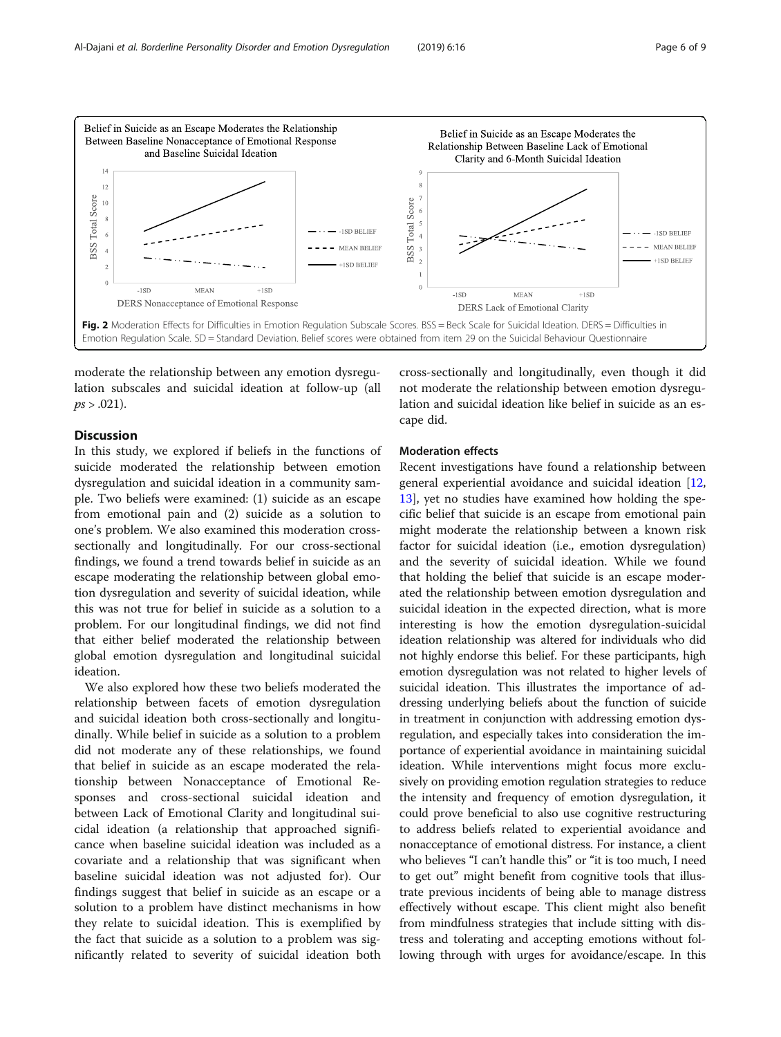<span id="page-5-0"></span>

moderate the relationship between any emotion dysregulation subscales and suicidal ideation at follow-up (all  $ps > .021$ ).

# Discussion

In this study, we explored if beliefs in the functions of suicide moderated the relationship between emotion dysregulation and suicidal ideation in a community sample. Two beliefs were examined: (1) suicide as an escape from emotional pain and (2) suicide as a solution to one's problem. We also examined this moderation crosssectionally and longitudinally. For our cross-sectional findings, we found a trend towards belief in suicide as an escape moderating the relationship between global emotion dysregulation and severity of suicidal ideation, while this was not true for belief in suicide as a solution to a problem. For our longitudinal findings, we did not find that either belief moderated the relationship between global emotion dysregulation and longitudinal suicidal ideation.

We also explored how these two beliefs moderated the relationship between facets of emotion dysregulation and suicidal ideation both cross-sectionally and longitudinally. While belief in suicide as a solution to a problem did not moderate any of these relationships, we found that belief in suicide as an escape moderated the relationship between Nonacceptance of Emotional Responses and cross-sectional suicidal ideation and between Lack of Emotional Clarity and longitudinal suicidal ideation (a relationship that approached significance when baseline suicidal ideation was included as a covariate and a relationship that was significant when baseline suicidal ideation was not adjusted for). Our findings suggest that belief in suicide as an escape or a solution to a problem have distinct mechanisms in how they relate to suicidal ideation. This is exemplified by the fact that suicide as a solution to a problem was significantly related to severity of suicidal ideation both

cross-sectionally and longitudinally, even though it did not moderate the relationship between emotion dysregulation and suicidal ideation like belief in suicide as an escape did.

# Moderation effects

Recent investigations have found a relationship between general experiential avoidance and suicidal ideation [[12](#page-8-0), [13\]](#page-8-0), yet no studies have examined how holding the specific belief that suicide is an escape from emotional pain might moderate the relationship between a known risk factor for suicidal ideation (i.e., emotion dysregulation) and the severity of suicidal ideation. While we found that holding the belief that suicide is an escape moderated the relationship between emotion dysregulation and suicidal ideation in the expected direction, what is more interesting is how the emotion dysregulation-suicidal ideation relationship was altered for individuals who did not highly endorse this belief. For these participants, high emotion dysregulation was not related to higher levels of suicidal ideation. This illustrates the importance of addressing underlying beliefs about the function of suicide in treatment in conjunction with addressing emotion dysregulation, and especially takes into consideration the importance of experiential avoidance in maintaining suicidal ideation. While interventions might focus more exclusively on providing emotion regulation strategies to reduce the intensity and frequency of emotion dysregulation, it could prove beneficial to also use cognitive restructuring to address beliefs related to experiential avoidance and nonacceptance of emotional distress. For instance, a client who believes "I can't handle this" or "it is too much, I need to get out" might benefit from cognitive tools that illustrate previous incidents of being able to manage distress effectively without escape. This client might also benefit from mindfulness strategies that include sitting with distress and tolerating and accepting emotions without following through with urges for avoidance/escape. In this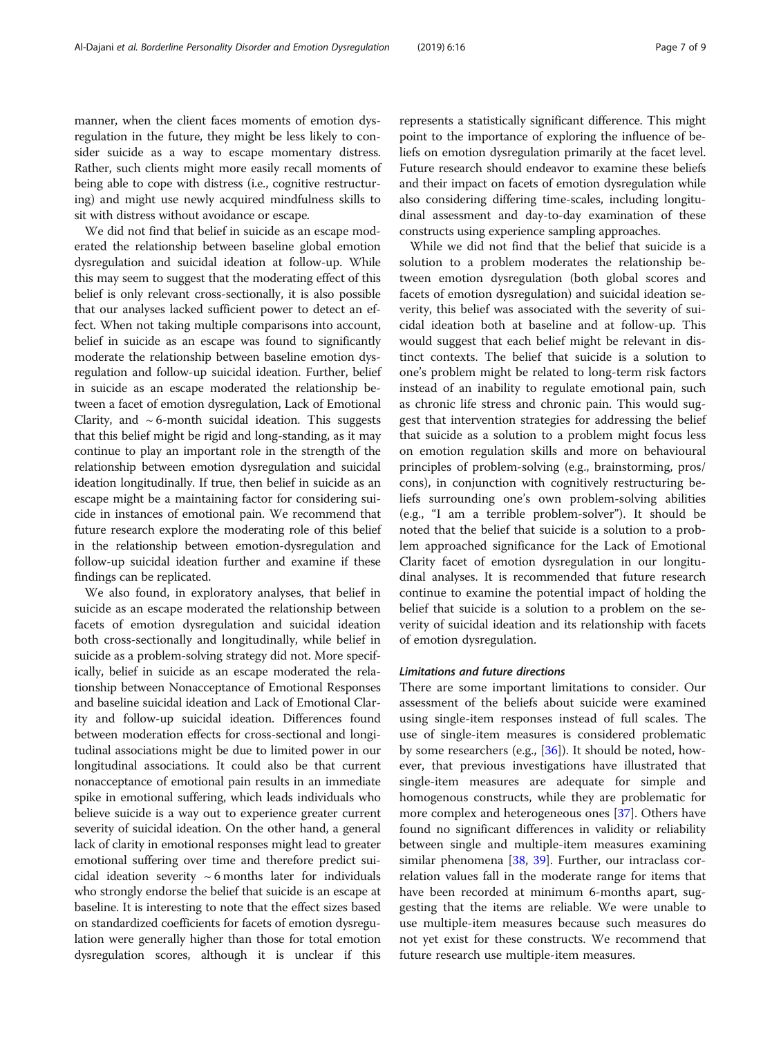manner, when the client faces moments of emotion dysregulation in the future, they might be less likely to consider suicide as a way to escape momentary distress. Rather, such clients might more easily recall moments of being able to cope with distress (i.e., cognitive restructuring) and might use newly acquired mindfulness skills to sit with distress without avoidance or escape.

We did not find that belief in suicide as an escape moderated the relationship between baseline global emotion dysregulation and suicidal ideation at follow-up. While this may seem to suggest that the moderating effect of this belief is only relevant cross-sectionally, it is also possible that our analyses lacked sufficient power to detect an effect. When not taking multiple comparisons into account, belief in suicide as an escape was found to significantly moderate the relationship between baseline emotion dysregulation and follow-up suicidal ideation. Further, belief in suicide as an escape moderated the relationship between a facet of emotion dysregulation, Lack of Emotional Clarity, and  $\sim$  6-month suicidal ideation. This suggests that this belief might be rigid and long-standing, as it may continue to play an important role in the strength of the relationship between emotion dysregulation and suicidal ideation longitudinally. If true, then belief in suicide as an escape might be a maintaining factor for considering suicide in instances of emotional pain. We recommend that future research explore the moderating role of this belief in the relationship between emotion-dysregulation and follow-up suicidal ideation further and examine if these findings can be replicated.

We also found, in exploratory analyses, that belief in suicide as an escape moderated the relationship between facets of emotion dysregulation and suicidal ideation both cross-sectionally and longitudinally, while belief in suicide as a problem-solving strategy did not. More specifically, belief in suicide as an escape moderated the relationship between Nonacceptance of Emotional Responses and baseline suicidal ideation and Lack of Emotional Clarity and follow-up suicidal ideation. Differences found between moderation effects for cross-sectional and longitudinal associations might be due to limited power in our longitudinal associations. It could also be that current nonacceptance of emotional pain results in an immediate spike in emotional suffering, which leads individuals who believe suicide is a way out to experience greater current severity of suicidal ideation. On the other hand, a general lack of clarity in emotional responses might lead to greater emotional suffering over time and therefore predict suicidal ideation severity  $\sim$  6 months later for individuals who strongly endorse the belief that suicide is an escape at baseline. It is interesting to note that the effect sizes based on standardized coefficients for facets of emotion dysregulation were generally higher than those for total emotion dysregulation scores, although it is unclear if this

represents a statistically significant difference. This might point to the importance of exploring the influence of beliefs on emotion dysregulation primarily at the facet level. Future research should endeavor to examine these beliefs and their impact on facets of emotion dysregulation while also considering differing time-scales, including longitudinal assessment and day-to-day examination of these constructs using experience sampling approaches.

While we did not find that the belief that suicide is a solution to a problem moderates the relationship between emotion dysregulation (both global scores and facets of emotion dysregulation) and suicidal ideation severity, this belief was associated with the severity of suicidal ideation both at baseline and at follow-up. This would suggest that each belief might be relevant in distinct contexts. The belief that suicide is a solution to one's problem might be related to long-term risk factors instead of an inability to regulate emotional pain, such as chronic life stress and chronic pain. This would suggest that intervention strategies for addressing the belief that suicide as a solution to a problem might focus less on emotion regulation skills and more on behavioural principles of problem-solving (e.g., brainstorming, pros/ cons), in conjunction with cognitively restructuring beliefs surrounding one's own problem-solving abilities (e.g., "I am a terrible problem-solver"). It should be noted that the belief that suicide is a solution to a problem approached significance for the Lack of Emotional Clarity facet of emotion dysregulation in our longitudinal analyses. It is recommended that future research continue to examine the potential impact of holding the belief that suicide is a solution to a problem on the severity of suicidal ideation and its relationship with facets of emotion dysregulation.

# Limitations and future directions

There are some important limitations to consider. Our assessment of the beliefs about suicide were examined using single-item responses instead of full scales. The use of single-item measures is considered problematic by some researchers (e.g., [[36](#page-8-0)]). It should be noted, however, that previous investigations have illustrated that single-item measures are adequate for simple and homogenous constructs, while they are problematic for more complex and heterogeneous ones [\[37\]](#page-8-0). Others have found no significant differences in validity or reliability between single and multiple-item measures examining similar phenomena [[38,](#page-8-0) [39](#page-8-0)]. Further, our intraclass correlation values fall in the moderate range for items that have been recorded at minimum 6-months apart, suggesting that the items are reliable. We were unable to use multiple-item measures because such measures do not yet exist for these constructs. We recommend that future research use multiple-item measures.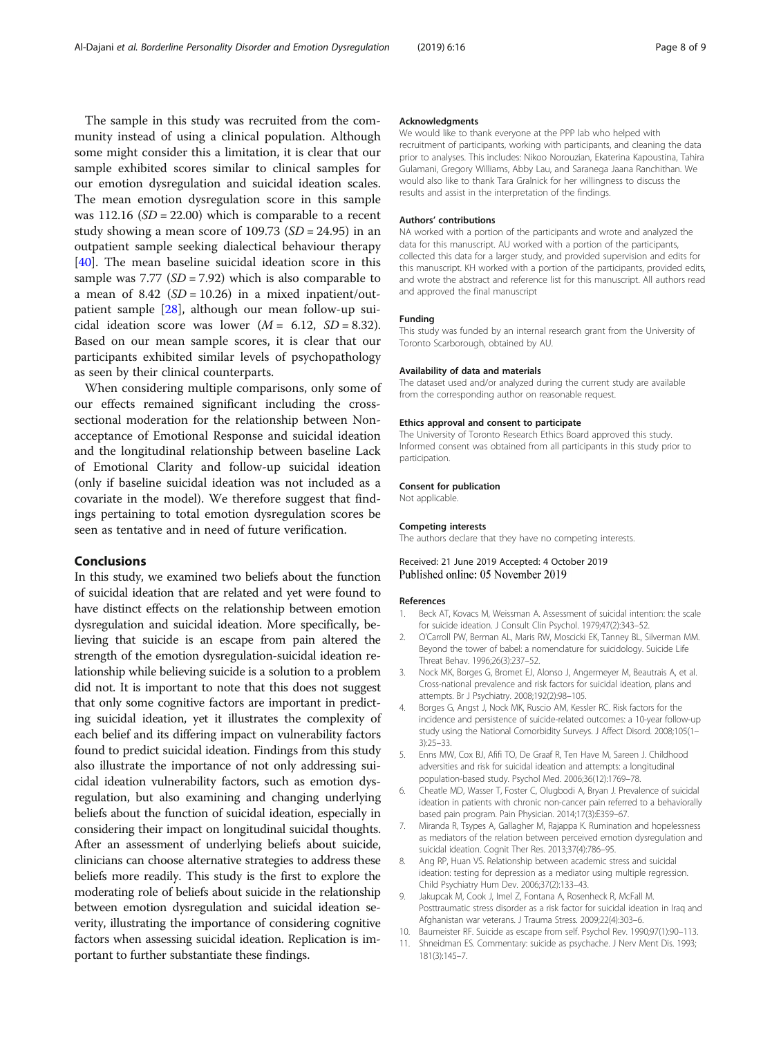<span id="page-7-0"></span>The sample in this study was recruited from the community instead of using a clinical population. Although some might consider this a limitation, it is clear that our sample exhibited scores similar to clinical samples for our emotion dysregulation and suicidal ideation scales. The mean emotion dysregulation score in this sample was  $112.16$  (*SD* = 22.00) which is comparable to a recent study showing a mean score of  $109.73$  (*SD* = 24.95) in an outpatient sample seeking dialectical behaviour therapy [[40\]](#page-8-0). The mean baseline suicidal ideation score in this sample was  $7.77$  (SD = 7.92) which is also comparable to a mean of  $8.42$  (*SD* = 10.26) in a mixed inpatient/outpatient sample [[28\]](#page-8-0), although our mean follow-up suicidal ideation score was lower  $(M = 6.12, SD = 8.32)$ . Based on our mean sample scores, it is clear that our participants exhibited similar levels of psychopathology as seen by their clinical counterparts.

When considering multiple comparisons, only some of our effects remained significant including the crosssectional moderation for the relationship between Nonacceptance of Emotional Response and suicidal ideation and the longitudinal relationship between baseline Lack of Emotional Clarity and follow-up suicidal ideation (only if baseline suicidal ideation was not included as a covariate in the model). We therefore suggest that findings pertaining to total emotion dysregulation scores be seen as tentative and in need of future verification.

# Conclusions

In this study, we examined two beliefs about the function of suicidal ideation that are related and yet were found to have distinct effects on the relationship between emotion dysregulation and suicidal ideation. More specifically, believing that suicide is an escape from pain altered the strength of the emotion dysregulation-suicidal ideation relationship while believing suicide is a solution to a problem did not. It is important to note that this does not suggest that only some cognitive factors are important in predicting suicidal ideation, yet it illustrates the complexity of each belief and its differing impact on vulnerability factors found to predict suicidal ideation. Findings from this study also illustrate the importance of not only addressing suicidal ideation vulnerability factors, such as emotion dysregulation, but also examining and changing underlying beliefs about the function of suicidal ideation, especially in considering their impact on longitudinal suicidal thoughts. After an assessment of underlying beliefs about suicide, clinicians can choose alternative strategies to address these beliefs more readily. This study is the first to explore the moderating role of beliefs about suicide in the relationship between emotion dysregulation and suicidal ideation severity, illustrating the importance of considering cognitive factors when assessing suicidal ideation. Replication is important to further substantiate these findings.

#### Acknowledgments

We would like to thank everyone at the PPP lab who helped with recruitment of participants, working with participants, and cleaning the data prior to analyses. This includes: Nikoo Norouzian, Ekaterina Kapoustina, Tahira Gulamani, Gregory Williams, Abby Lau, and Saranega Jaana Ranchithan. We would also like to thank Tara Gralnick for her willingness to discuss the results and assist in the interpretation of the findings.

#### Authors' contributions

NA worked with a portion of the participants and wrote and analyzed the data for this manuscript. AU worked with a portion of the participants, collected this data for a larger study, and provided supervision and edits for this manuscript. KH worked with a portion of the participants, provided edits, and wrote the abstract and reference list for this manuscript. All authors read and approved the final manuscript

#### Funding

This study was funded by an internal research grant from the University of Toronto Scarborough, obtained by AU.

#### Availability of data and materials

The dataset used and/or analyzed during the current study are available from the corresponding author on reasonable request.

#### Ethics approval and consent to participate

The University of Toronto Research Ethics Board approved this study. Informed consent was obtained from all participants in this study prior to participation.

#### Consent for publication

Not applicable.

#### Competing interests

The authors declare that they have no competing interests.

#### Received: 21 June 2019 Accepted: 4 October 2019 Published online: 05 November 2019

#### References

- 1. Beck AT, Kovacs M, Weissman A. Assessment of suicidal intention: the scale for suicide ideation. J Consult Clin Psychol. 1979;47(2):343–52.
- 2. O'Carroll PW, Berman AL, Maris RW, Moscicki EK, Tanney BL, Silverman MM. Beyond the tower of babel: a nomenclature for suicidology. Suicide Life Threat Behav. 1996;26(3):237–52.
- 3. Nock MK, Borges G, Bromet EJ, Alonso J, Angermeyer M, Beautrais A, et al. Cross-national prevalence and risk factors for suicidal ideation, plans and attempts. Br J Psychiatry. 2008;192(2):98–105.
- 4. Borges G, Angst J, Nock MK, Ruscio AM, Kessler RC. Risk factors for the incidence and persistence of suicide-related outcomes: a 10-year follow-up study using the National Comorbidity Surveys. J Affect Disord. 2008;105(1– 3):25–33.
- 5. Enns MW, Cox BJ, Afifi TO, De Graaf R, Ten Have M, Sareen J. Childhood adversities and risk for suicidal ideation and attempts: a longitudinal population-based study. Psychol Med. 2006;36(12):1769–78.
- 6. Cheatle MD, Wasser T, Foster C, Olugbodi A, Bryan J. Prevalence of suicidal ideation in patients with chronic non-cancer pain referred to a behaviorally based pain program. Pain Physician. 2014;17(3):E359–67.
- 7. Miranda R, Tsypes A, Gallagher M, Rajappa K. Rumination and hopelessness as mediators of the relation between perceived emotion dysregulation and suicidal ideation. Cognit Ther Res. 2013;37(4):786–95.
- 8. Ang RP, Huan VS. Relationship between academic stress and suicidal ideation: testing for depression as a mediator using multiple regression. Child Psychiatry Hum Dev. 2006;37(2):133–43.
- 9. Jakupcak M, Cook J, Imel Z, Fontana A, Rosenheck R, McFall M. Posttraumatic stress disorder as a risk factor for suicidal ideation in Iraq and Afghanistan war veterans. J Trauma Stress. 2009;22(4):303–6.
- 10. Baumeister RF. Suicide as escape from self. Psychol Rev. 1990;97(1):90–113.
- 11. Shneidman ES. Commentary: suicide as psychache. J Nerv Ment Dis. 1993; 181(3):145–7.